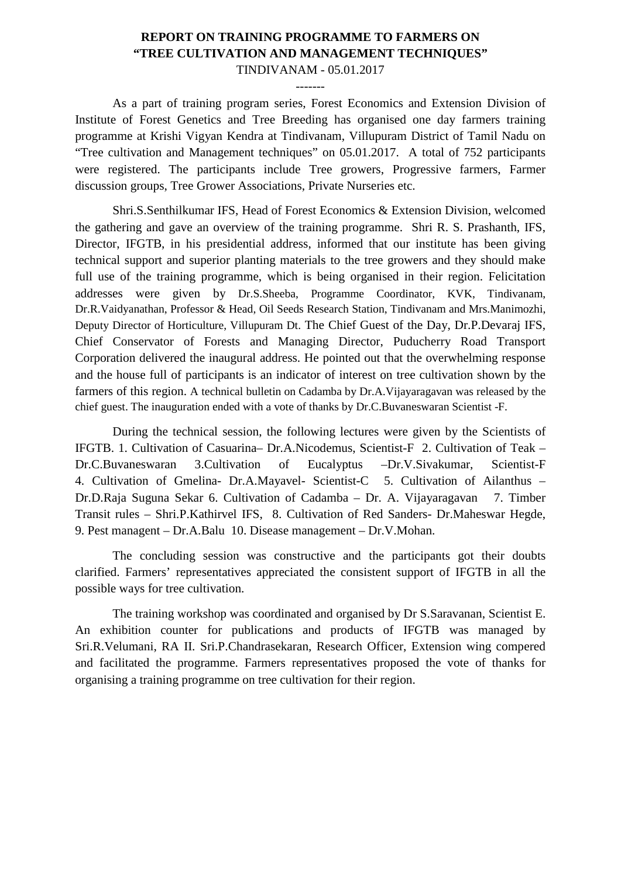## **REPORT ON TRAINING PROGRAMME TO FARMERS ON "TREE CULTIVATION AND MANAGEMENT TECHNIQUES"**

TINDIVANAM - 05.01.2017 -------

As a part of training program series, Forest Economics and Extension Division of Institute of Forest Genetics and Tree Breeding has organised one day farmers training programme at Krishi Vigyan Kendra at Tindivanam, Villupuram District of Tamil Nadu on "Tree cultivation and Management techniques" on 05.01.2017. A total of 752 participants were registered. The participants include Tree growers, Progressive farmers, Farmer discussion groups, Tree Grower Associations, Private Nurseries etc.

Shri.S.Senthilkumar IFS, Head of Forest Economics & Extension Division, welcomed the gathering and gave an overview of the training programme. Shri R. S. Prashanth, IFS, Director, IFGTB, in his presidential address, informed that our institute has been giving technical support and superior planting materials to the tree growers and they should make full use of the training programme, which is being organised in their region. Felicitation addresses were given by Dr.S.Sheeba, Programme Coordinator, KVK, Tindivanam, Dr.R.Vaidyanathan, Professor & Head, Oil Seeds Research Station, Tindivanam and Mrs.Manimozhi, Deputy Director of Horticulture, Villupuram Dt. The Chief Guest of the Day, Dr.P.Devaraj IFS, Chief Conservator of Forests and Managing Director, Puducherry Road Transport Corporation delivered the inaugural address. He pointed out that the overwhelming response and the house full of participants is an indicator of interest on tree cultivation shown by the farmers of this region. A technical bulletin on Cadamba by Dr.A.Vijayaragavan was released by the chief guest. The inauguration ended with a vote of thanks by Dr.C.Buvaneswaran Scientist -F.

During the technical session, the following lectures were given by the Scientists of IFGTB. 1. Cultivation of Casuarina– Dr.A.Nicodemus, Scientist-F 2. Cultivation of Teak – Dr.C.Buvaneswaran 3.Cultivation of Eucalyptus –Dr.V.Sivakumar, Scientist-F 4. Cultivation of Gmelina- Dr.A.Mayavel- Scientist-C 5. Cultivation of Ailanthus – Dr.D.Raja Suguna Sekar 6. Cultivation of Cadamba – Dr. A. Vijayaragavan 7. Timber Transit rules – Shri.P.Kathirvel IFS, 8. Cultivation of Red Sanders- Dr.Maheswar Hegde, 9. Pest managent – Dr.A.Balu 10. Disease management – Dr.V.Mohan.

The concluding session was constructive and the participants got their doubts clarified. Farmers' representatives appreciated the consistent support of IFGTB in all the possible ways for tree cultivation.

The training workshop was coordinated and organised by Dr S.Saravanan, Scientist E. An exhibition counter for publications and products of IFGTB was managed by Sri.R.Velumani, RA II. Sri.P.Chandrasekaran, Research Officer, Extension wing compered and facilitated the programme. Farmers representatives proposed the vote of thanks for organising a training programme on tree cultivation for their region.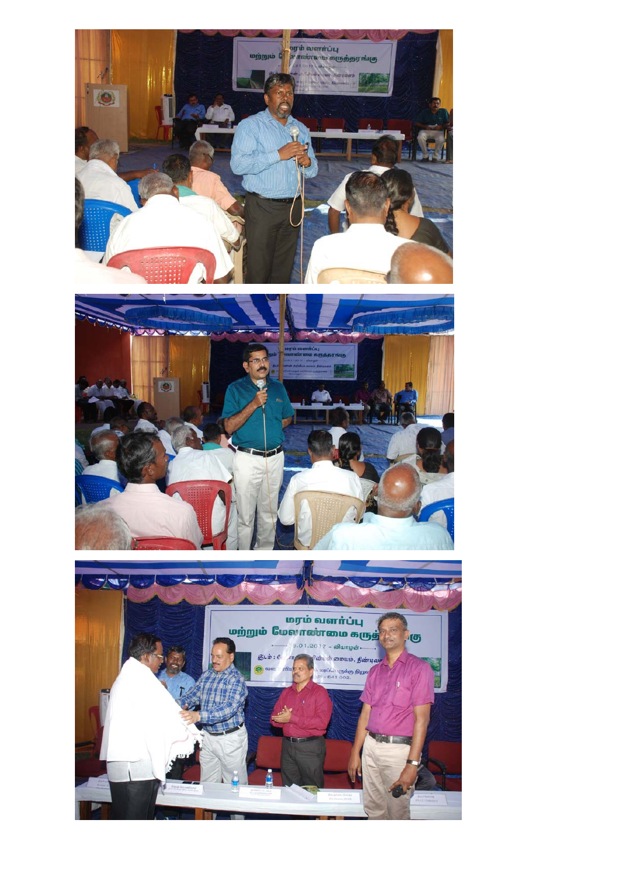



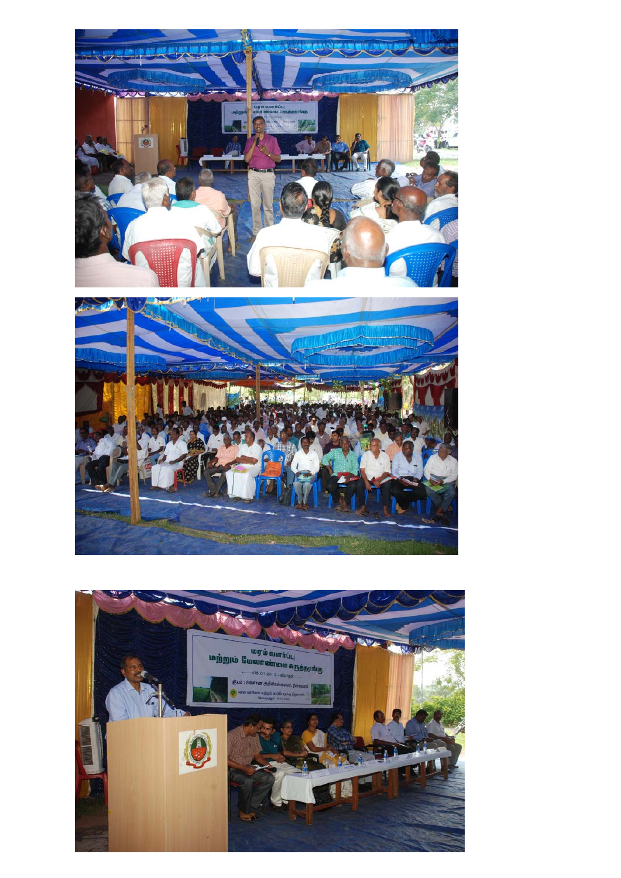



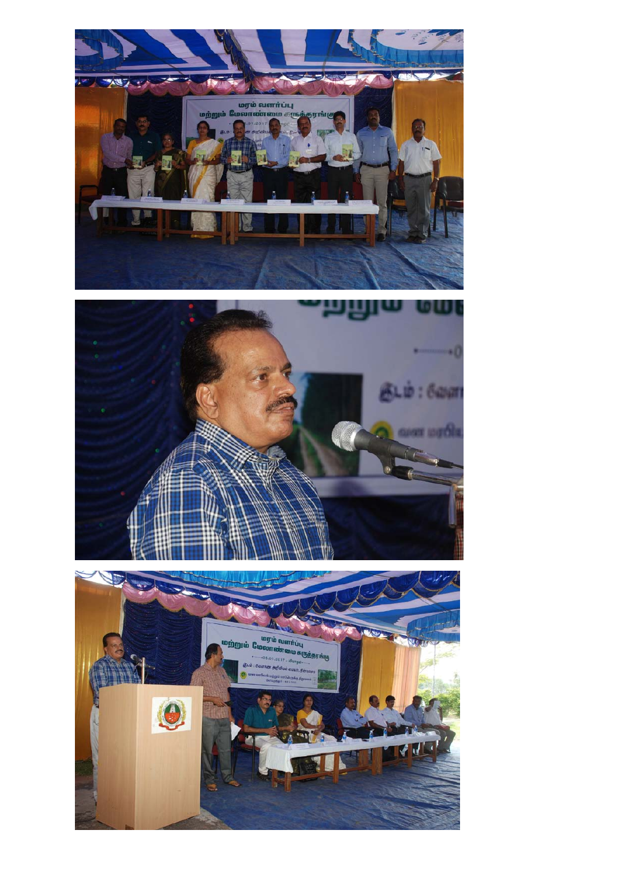